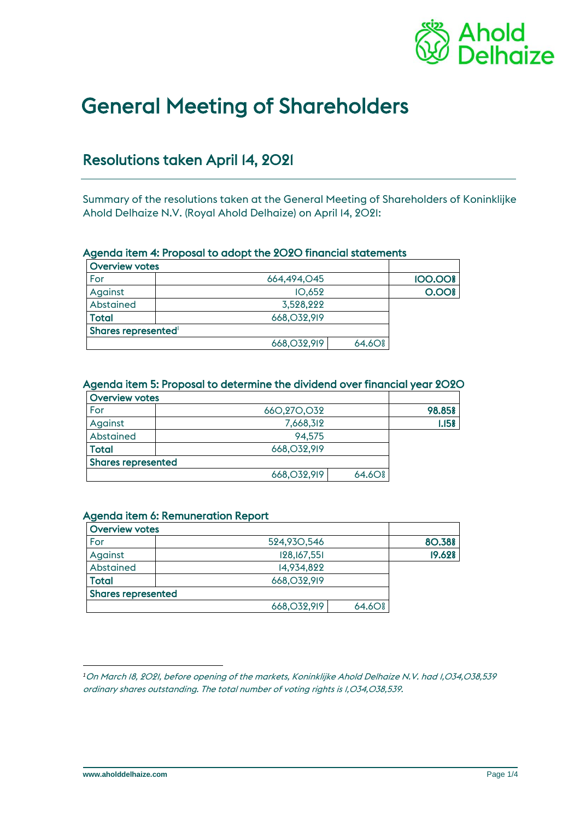

# General Meeting of Shareholders

# Resolutions taken April 14, 2021

Summary of the resolutions taken at the General Meeting of Shareholders of Koninklijke Ahold Delhaize N.V. (Royal Ahold Delhaize) on April 14, 2021:

#### Agenda item 4: Proposal to adopt the 2020 financial statements

| <b>Overview votes</b> |               |                    |                |
|-----------------------|---------------|--------------------|----------------|
| For                   | 664,494,045   |                    | <b>100.00%</b> |
| Against               | IO, 652       |                    | 0.00           |
| Abstained             | 3,528,222     |                    |                |
| <b>Total</b>          | 668, 032, 919 |                    |                |
| Shares represented    |               |                    |                |
|                       | 668, 032, 919 | 64.60 <sup>g</sup> |                |

#### Agenda item 5: Proposal to determine the dividend over financial year 2020

| <b>Overview votes</b>     |               |                    |        |
|---------------------------|---------------|--------------------|--------|
| For                       | 660,270,032   |                    | 98.85% |
| Against                   | 7,668,312     |                    | 1.158  |
| Abstained                 | 94.575        |                    |        |
| Total                     | 668, 032, 919 |                    |        |
| <b>Shares represented</b> |               |                    |        |
|                           | 668, 032, 919 | 64.60 <sup>g</sup> |        |

#### Agenda item 6: Remuneration Report

| <b>Overview votes</b>     |               |                    |        |
|---------------------------|---------------|--------------------|--------|
| For                       | 524,930,546   |                    | 80.38% |
| Against                   | 128, 167, 551 |                    | 19.62% |
| Abstained                 | 14,934,822    |                    |        |
| <b>Total</b>              | 668, 032, 919 |                    |        |
| <b>Shares represented</b> |               |                    |        |
|                           | 668, 032, 919 | 64.60 <sup>g</sup> |        |

*<sup>1</sup>*On March 18, 2021, before opening of the markets, Koninklijke Ahold Delhaize N.V. had 1,034,038,539 ordinary shares outstanding. The total number of voting rights is 1,034,038,539.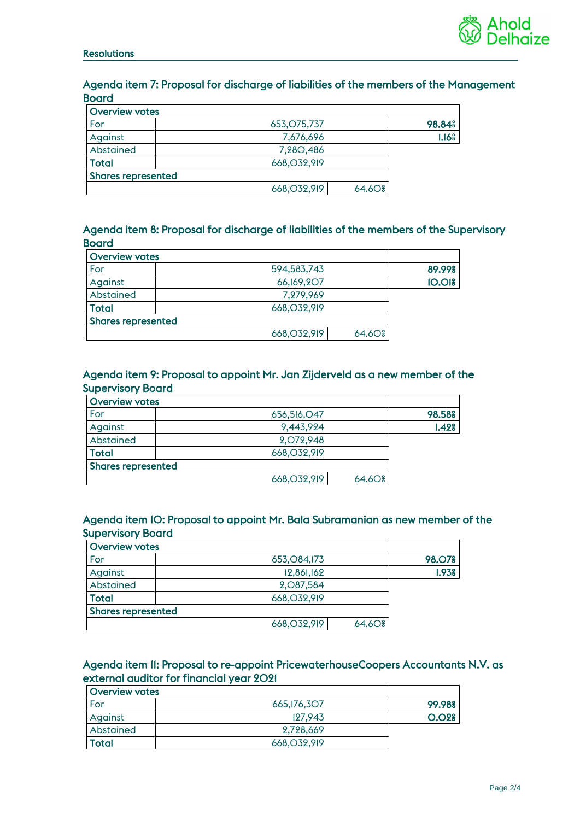

#### Agenda item 7: Proposal for discharge of liabilities of the members of the Management **Board**

| <b>Overview votes</b>     |                                     |                   |
|---------------------------|-------------------------------------|-------------------|
| For                       | 653, 075, 737                       | 98.84%            |
| Against                   | 7,676,696                           | 1.16 <sup>°</sup> |
| Abstained                 | 7,280,486                           |                   |
| <b>Total</b>              | 668, 032, 919                       |                   |
| <b>Shares represented</b> |                                     |                   |
|                           | 668, 032, 919<br>64.60 <sup>g</sup> |                   |

#### Agenda item 8: Proposal for discharge of liabilities of the members of the Supervisory **Board**

| <b>Overview votes</b>     |               |                    |               |
|---------------------------|---------------|--------------------|---------------|
| For                       | 594,583,743   |                    | 89.99%        |
| Against                   | 66,169,207    |                    | <b>10.018</b> |
| Abstained                 | 7.279.969     |                    |               |
| <b>Total</b>              | 668, 032, 919 |                    |               |
| <b>Shares represented</b> |               |                    |               |
|                           | 668, 032, 919 | 64.60 <sup>g</sup> |               |

#### Agenda item 9: Proposal to appoint Mr. Jan Zijderveld as a new member of the Supervisory Board

| <b>Overview votes</b>     |               |                    |        |
|---------------------------|---------------|--------------------|--------|
| For                       | 656,516,047   |                    | 98.58% |
| Against                   | 9,443,924     |                    | 1.428  |
| Abstained                 | 2,072,948     |                    |        |
| <b>Total</b>              | 668, 032, 919 |                    |        |
| <b>Shares represented</b> |               |                    |        |
|                           | 668, 032, 919 | 64.60 <sup>g</sup> |        |

#### Agenda item 10: Proposal to appoint Mr. Bala Subramanian as new member of the Supervisory Board

| <b>Overview votes</b>     |               |                    |        |
|---------------------------|---------------|--------------------|--------|
| For                       | 653,084,173   |                    | 98.O7% |
| Against                   | 12,861,162    |                    | 1.938  |
| Abstained                 | 2,087,584     |                    |        |
| Total                     | 668,032,919   |                    |        |
| <b>Shares represented</b> |               |                    |        |
|                           | 668, O32, 919 | 64.60 <sup>g</sup> |        |

#### Agenda item 11: Proposal to re-appoint PricewaterhouseCoopers Accountants N.V. as external auditor for financial year 2021

| Overview votes |             |        |
|----------------|-------------|--------|
| For            | 665,176,307 | 99.98% |
| Against        | 127.943     | O.028  |
| Abstained      | 2,728,669   |        |
| Total          | 668,032,919 |        |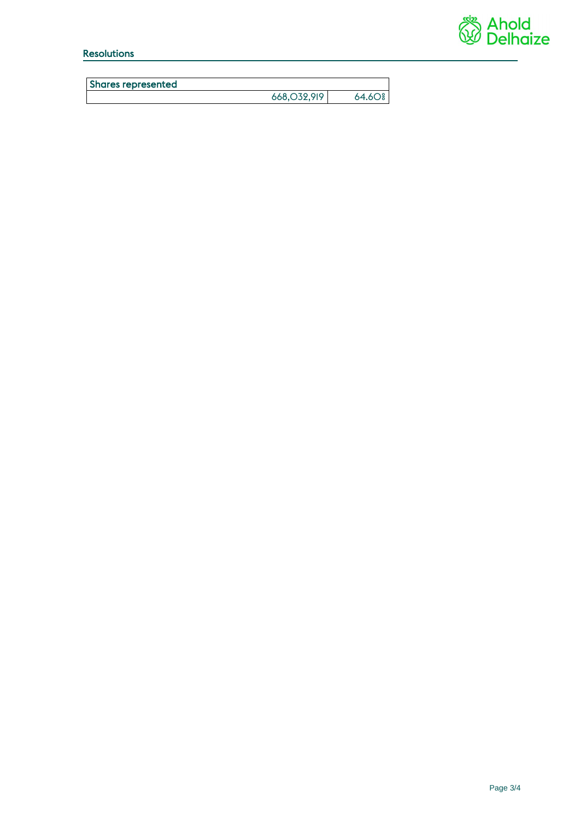

# Resolutions

| <b>Shares represented</b> |               |                     |
|---------------------------|---------------|---------------------|
|                           | 668, 032, 919 | $64.6O_{2}^{\circ}$ |